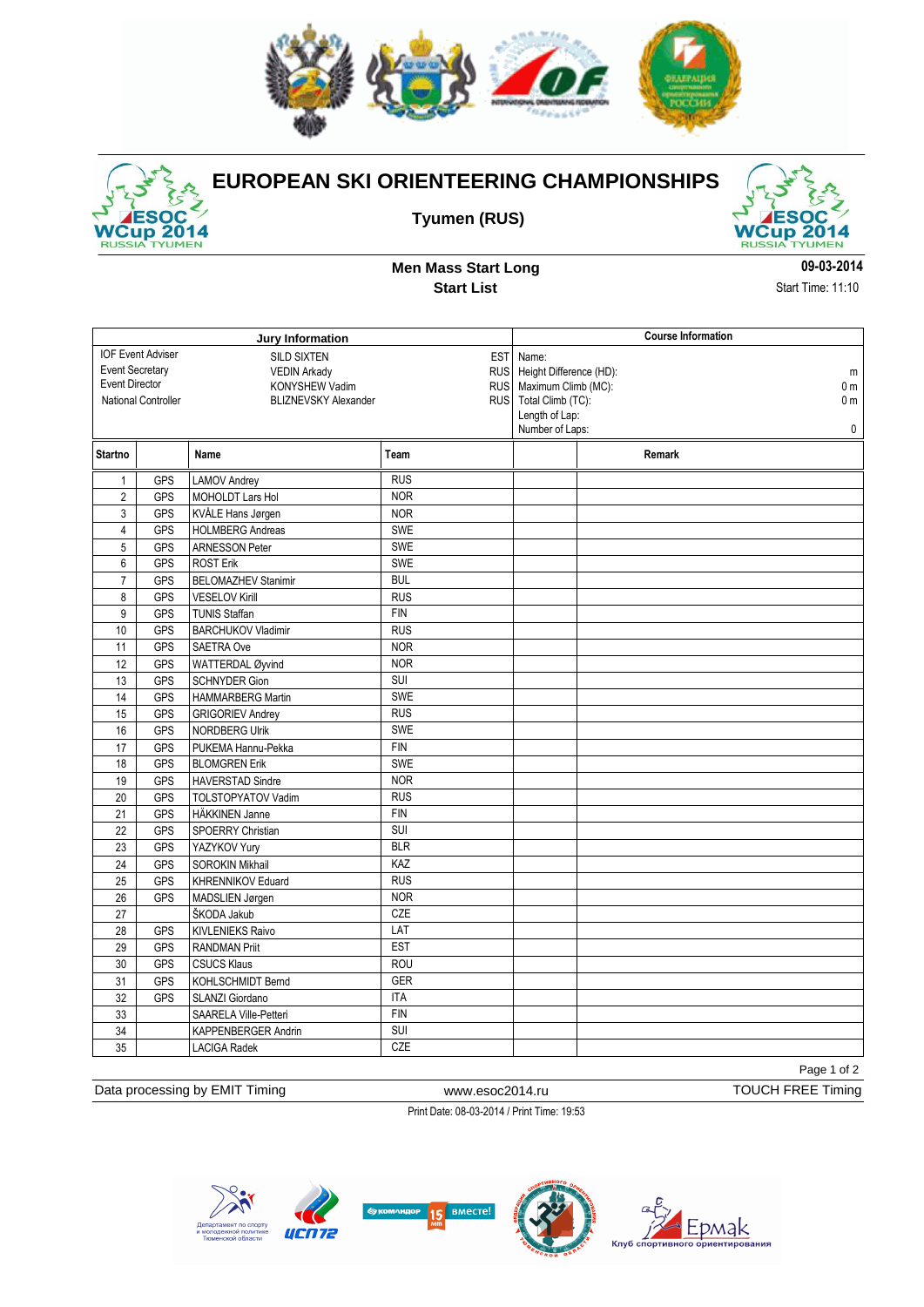



## **EUROPEAN SKI ORIENTEERING CHAMPIONSHIPS**

**Tyumen (RUS)**



**Men Mass Start Long Start List**

**09-03-2014** Start Time: 11:10

| Jury Information                                        |            |                            |            |                                   | <b>Course Information</b>                   |                |  |
|---------------------------------------------------------|------------|----------------------------|------------|-----------------------------------|---------------------------------------------|----------------|--|
| <b>IOF Event Adviser</b><br><b>SILD SIXTEN</b><br>EST I |            |                            | Name:      |                                   |                                             |                |  |
| <b>Event Secretary</b>                                  |            | <b>VEDIN Arkady</b>        |            | RUS   Height Difference (HD):     |                                             | m              |  |
| <b>Event Director</b><br>KONYSHEW Vadim                 |            |                            |            |                                   | RUS   Maximum Climb (MC):<br>0 <sub>m</sub> |                |  |
| National Controller<br><b>BLIZNEVSKY Alexander</b>      |            |                            |            | RUS   Total Climb (TC):           |                                             | 0 <sub>m</sub> |  |
|                                                         |            |                            |            | Length of Lap:<br>Number of Laps: |                                             | $\mathbf 0$    |  |
|                                                         |            |                            |            |                                   |                                             |                |  |
| Startno                                                 |            | Name                       | Team       |                                   | Remark                                      |                |  |
| $\mathbf{1}$                                            | <b>GPS</b> | LAMOV Andrey               | <b>RUS</b> |                                   |                                             |                |  |
| $\overline{2}$                                          | GPS        | MOHOLDT Lars Hol           | <b>NOR</b> |                                   |                                             |                |  |
| 3                                                       | GPS        | KVÅLE Hans Jørgen          | <b>NOR</b> |                                   |                                             |                |  |
| $\overline{4}$                                          | <b>GPS</b> | <b>HOLMBERG Andreas</b>    | <b>SWE</b> |                                   |                                             |                |  |
| 5                                                       | <b>GPS</b> | <b>ARNESSON Peter</b>      | SWE        |                                   |                                             |                |  |
| 6                                                       | <b>GPS</b> | <b>ROST Erik</b>           | <b>SWE</b> |                                   |                                             |                |  |
| $\overline{7}$                                          | <b>GPS</b> | <b>BELOMAZHEV Stanimir</b> | <b>BUL</b> |                                   |                                             |                |  |
| 8                                                       | <b>GPS</b> | <b>VESELOV Kirill</b>      | <b>RUS</b> |                                   |                                             |                |  |
| 9                                                       | <b>GPS</b> | <b>TUNIS Staffan</b>       | <b>FIN</b> |                                   |                                             |                |  |
| 10                                                      | <b>GPS</b> | <b>BARCHUKOV Vladimir</b>  | <b>RUS</b> |                                   |                                             |                |  |
| 11                                                      | GPS        | SAETRA Ove                 | <b>NOR</b> |                                   |                                             |                |  |
| 12                                                      | GPS        | WATTERDAL Øyvind           | <b>NOR</b> |                                   |                                             |                |  |
| 13                                                      | <b>GPS</b> | <b>SCHNYDER Gion</b>       | SUI        |                                   |                                             |                |  |
| 14                                                      | <b>GPS</b> | <b>HAMMARBERG Martin</b>   | SWE        |                                   |                                             |                |  |
| 15                                                      | <b>GPS</b> | <b>GRIGORIEV Andrey</b>    | <b>RUS</b> |                                   |                                             |                |  |
| 16                                                      | GPS        | <b>NORDBERG Ulrik</b>      | <b>SWE</b> |                                   |                                             |                |  |
| 17                                                      | <b>GPS</b> | PUKEMA Hannu-Pekka         | <b>FIN</b> |                                   |                                             |                |  |
| 18                                                      | <b>GPS</b> | <b>BLOMGREN Erik</b>       | <b>SWE</b> |                                   |                                             |                |  |
| 19                                                      | <b>GPS</b> | <b>HAVERSTAD Sindre</b>    | <b>NOR</b> |                                   |                                             |                |  |
| 20                                                      | <b>GPS</b> | <b>TOLSTOPYATOV Vadim</b>  | RUS        |                                   |                                             |                |  |
| 21                                                      | <b>GPS</b> | HÄKKINEN Janne             | <b>FIN</b> |                                   |                                             |                |  |
| 22                                                      | GPS        | SPOERRY Christian          | SUI        |                                   |                                             |                |  |
| $\overline{23}$                                         | GPS        | YAZYKOV Yury               | <b>BLR</b> |                                   |                                             |                |  |
| 24                                                      | <b>GPS</b> | <b>SOROKIN Mikhail</b>     | KAZ        |                                   |                                             |                |  |
| 25                                                      | GPS        | KHRENNIKOV Eduard          | <b>RUS</b> |                                   |                                             |                |  |
| 26                                                      | <b>GPS</b> | MADSLIEN Jørgen            | <b>NOR</b> |                                   |                                             |                |  |
| 27                                                      |            | ŠKODA Jakub                | CZE        |                                   |                                             |                |  |
| 28                                                      | <b>GPS</b> | <b>KIVLENIEKS Raivo</b>    | LAT        |                                   |                                             |                |  |
| 29                                                      | <b>GPS</b> | <b>RANDMAN Priit</b>       | <b>EST</b> |                                   |                                             |                |  |
| 30                                                      | <b>GPS</b> | <b>CSUCS Klaus</b>         | <b>ROU</b> |                                   |                                             |                |  |
| 31                                                      | <b>GPS</b> | KOHLSCHMIDT Bernd          | GER        |                                   |                                             |                |  |
| 32                                                      | GPS        | SLANZI Giordano            | <b>ITA</b> |                                   |                                             |                |  |
| 33                                                      |            | SAARELA Ville-Petteri      | <b>FIN</b> |                                   |                                             |                |  |
| 34                                                      |            | KAPPENBERGER Andrin        | SUI        |                                   |                                             |                |  |
| 35                                                      |            | <b>LACIGA Radek</b>        | CZE        |                                   |                                             |                |  |

Page 1 of 2

Data processing by EMIT Timing www.esoc2014.ru https://www.esoc2014.ru TOUCH FREE Timing

Print Date: 08-03-2014 / Print Time: 19:53